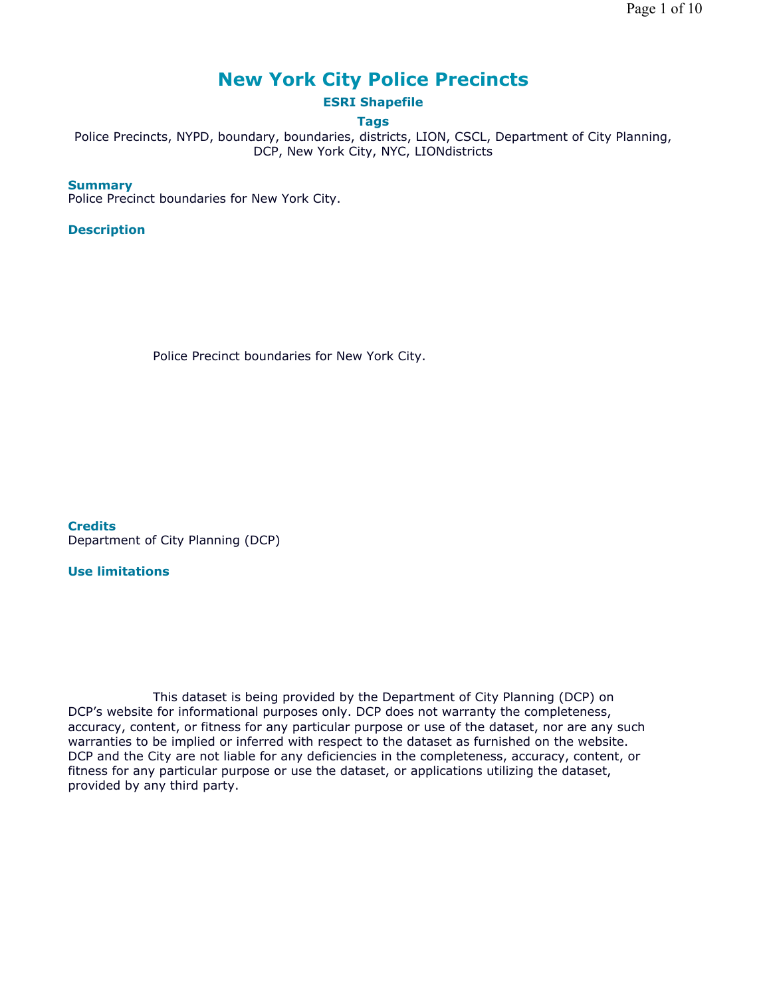# **New York City Police Precincts**

## **ESRI Shapefile**

### **Tags**

Police Precincts, NYPD, boundary, boundaries, districts, LION, CSCL, Department of City Planning, DCP, New York City, NYC, LIONdistricts

#### **Summary**

Police Precinct boundaries for New York City.

#### **Description**

Police Precinct boundaries for New York City.

**Credits** Department of City Planning (DCP)

#### **Use limitations**

This dataset is being provided by the Department of City Planning (DCP) on DCP's website for informational purposes only. DCP does not warranty the completeness, accuracy, content, or fitness for any particular purpose or use of the dataset, nor are any such warranties to be implied or inferred with respect to the dataset as furnished on the website. DCP and the City are not liable for any deficiencies in the completeness, accuracy, content, or fitness for any particular purpose or use the dataset, or applications utilizing the dataset, provided by any third party.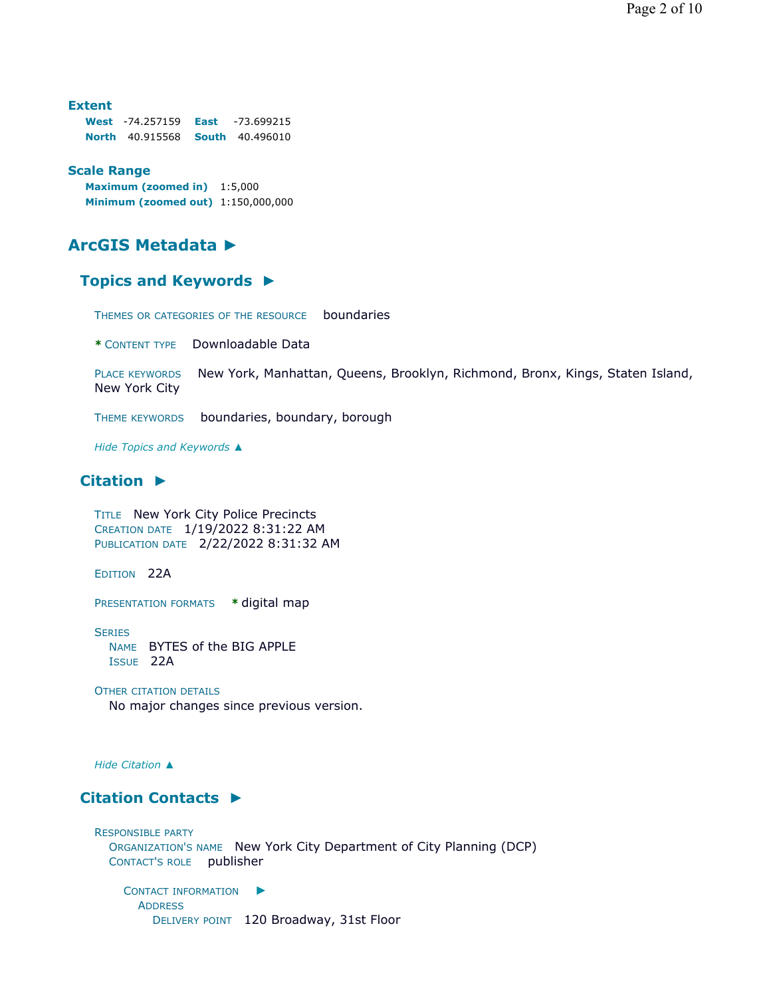**Extent West** -74.257159 **East** -73.699215 **North** 40.915568 **South** 40.496010

#### **Scale Range**

**Maximum (zoomed in)** 1:5,000 **Minimum (zoomed out)** 1:150,000,000

# **ArcGIS Metadata ►**

#### **Topics and Keywords ►**

THEMES OR CATEGORIES OF THE RESOURCE boundaries

**\*** CONTENT TYPE Downloadable Data

PLACE KEYWORDS New York, Manhattan, Queens, Brooklyn, Richmond, Bronx, Kings, Staten Island, New York City

THEME KEYWORDS boundaries, boundary, borough

*Hide Topics and Keywords ▲*

#### **Citation ►**

TITLE New York City Police Precincts CREATION DATE 1/19/2022 8:31:22 AM PUBLICATION DATE 2/22/2022 8:31:32 AM

EDITION 22A

PRESENTATION FORMATS **\*** digital map

**SERIES** NAME BYTES of the BIG APPLE ISSUE 22A

#### OTHER CITATION DETAILS

No major changes since previous version.

*Hide Citation ▲*

#### **Citation Contacts ►**

RESPONSIBLE PARTY ORGANIZATION'S NAME New York City Department of City Planning (DCP) CONTACT'S ROLE publisher

CONTACT INFORMATION ► ADDRESS DELIVERY POINT 120 Broadway, 31st Floor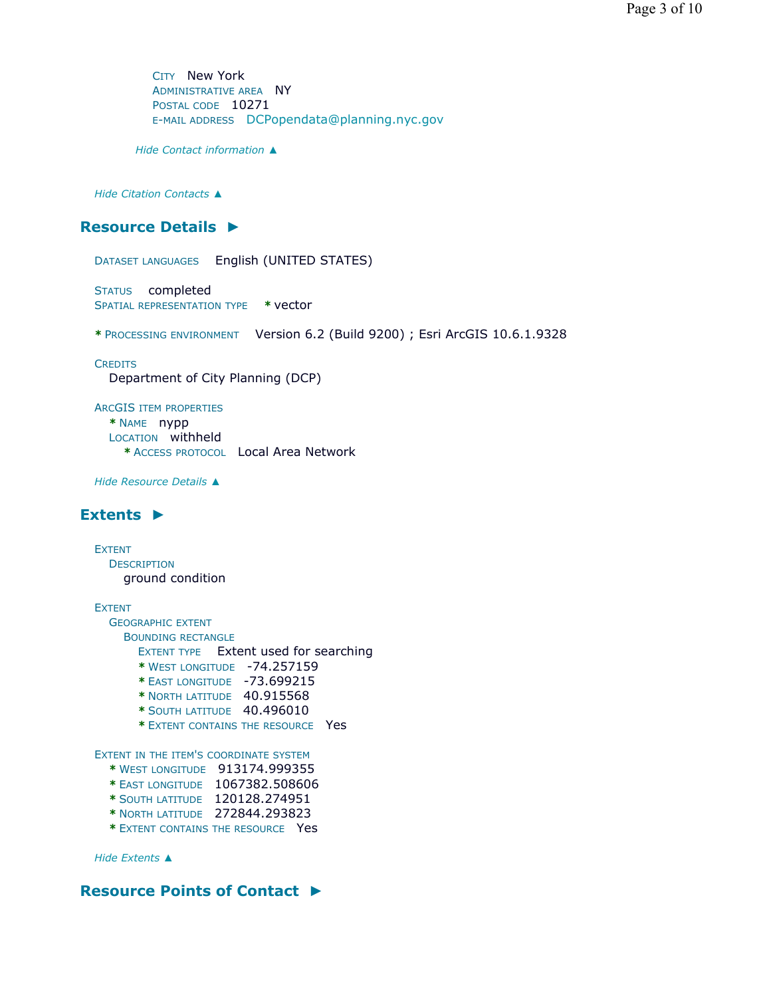CITY New York ADMINISTRATIVE AREA NY POSTAL CODE 10271 E-MAIL ADDRESS DCPopendata@planning.nyc.gov

*Hide Contact information ▲*

*Hide Citation Contacts ▲*

### **Resource Details ►**

DATASET LANGUAGES English (UNITED STATES)

STATUS completed SPATIAL REPRESENTATION TYPE **\*** vector

**\*** PROCESSING ENVIRONMENT Version 6.2 (Build 9200) ; Esri ArcGIS 10.6.1.9328

**CREDITS** Department of City Planning (DCP)

ARCGIS ITEM PROPERTIES **\*** NAME nypp LOCATION withheld **\*** ACCESS PROTOCOL Local Area Network

*Hide Resource Details ▲*

#### **Extents ►**

EXTENT **DESCRIPTION** ground condition

EXTENT

GEOGRAPHIC EXTENT BOUNDING RECTANGLE

- EXTENT TYPE Extent used for searching
- **\*** WEST LONGITUDE -74.257159
- **\*** EAST LONGITUDE -73.699215
- **\*** NORTH LATITUDE 40.915568
- **\*** SOUTH LATITUDE 40.496010
- **\*** EXTENT CONTAINS THE RESOURCE Yes

EXTENT IN THE ITEM'S COORDINATE SYSTEM

- **\*** WEST LONGITUDE 913174.999355
- **\*** EAST LONGITUDE 1067382.508606
- **\*** SOUTH LATITUDE 120128.274951
- **\*** NORTH LATITUDE 272844.293823
- **\*** EXTENT CONTAINS THE RESOURCE Yes

*Hide Extents ▲*

### **Resource Points of Contact ►**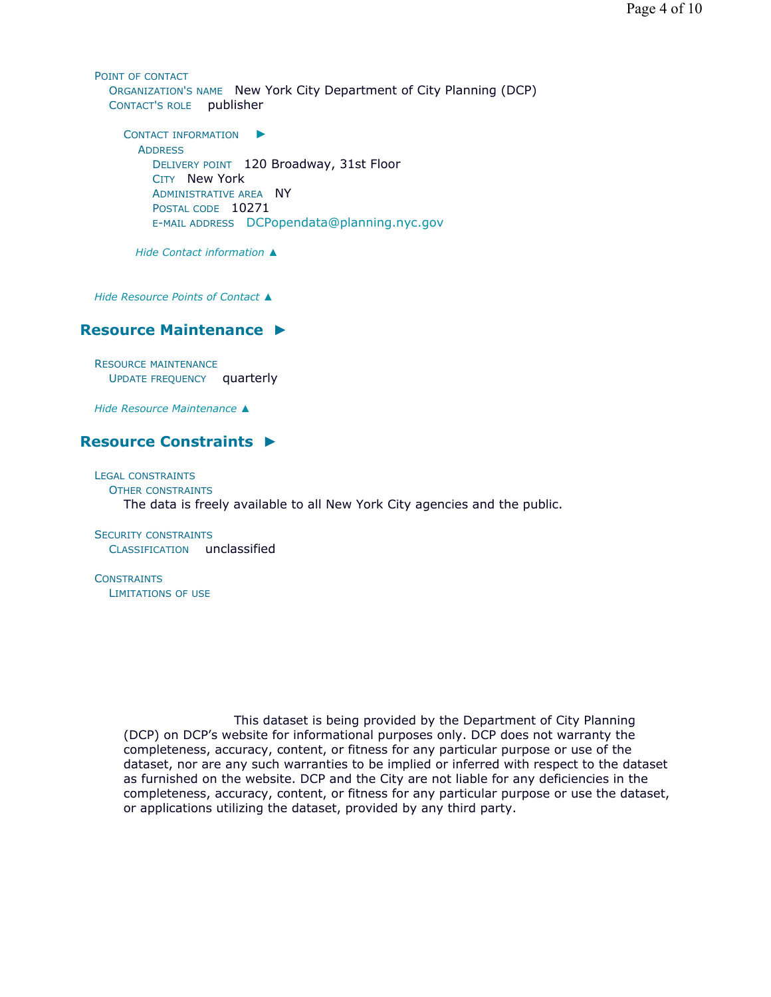POINT OF CONTACT ORGANIZATION'S NAME New York City Department of City Planning (DCP) CONTACT'S ROLE publisher

CONTACT INFORMATION ► **ADDRESS** DELIVERY POINT 120 Broadway, 31st Floor CITY New York ADMINISTRATIVE AREA NY POSTAL CODE 10271 E-MAIL ADDRESS DCPopendata@planning.nyc.gov

*Hide Contact information ▲*

*Hide Resource Points of Contact ▲*

#### **Resource Maintenance ►**

RESOURCE MAINTENANCE UPDATE FREQUENCY quarterly

*Hide Resource Maintenance ▲*

#### **Resource Constraints ►**

LEGAL CONSTRAINTS OTHER CONSTRAINTS The data is freely available to all New York City agencies and the public.

SECURITY CONSTRAINTS CLASSIFICATION unclassified

**CONSTRAINTS** LIMITATIONS OF USE

> This dataset is being provided by the Department of City Planning (DCP) on DCP's website for informational purposes only. DCP does not warranty the completeness, accuracy, content, or fitness for any particular purpose or use of the dataset, nor are any such warranties to be implied or inferred with respect to the dataset as furnished on the website. DCP and the City are not liable for any deficiencies in the completeness, accuracy, content, or fitness for any particular purpose or use the dataset, or applications utilizing the dataset, provided by any third party.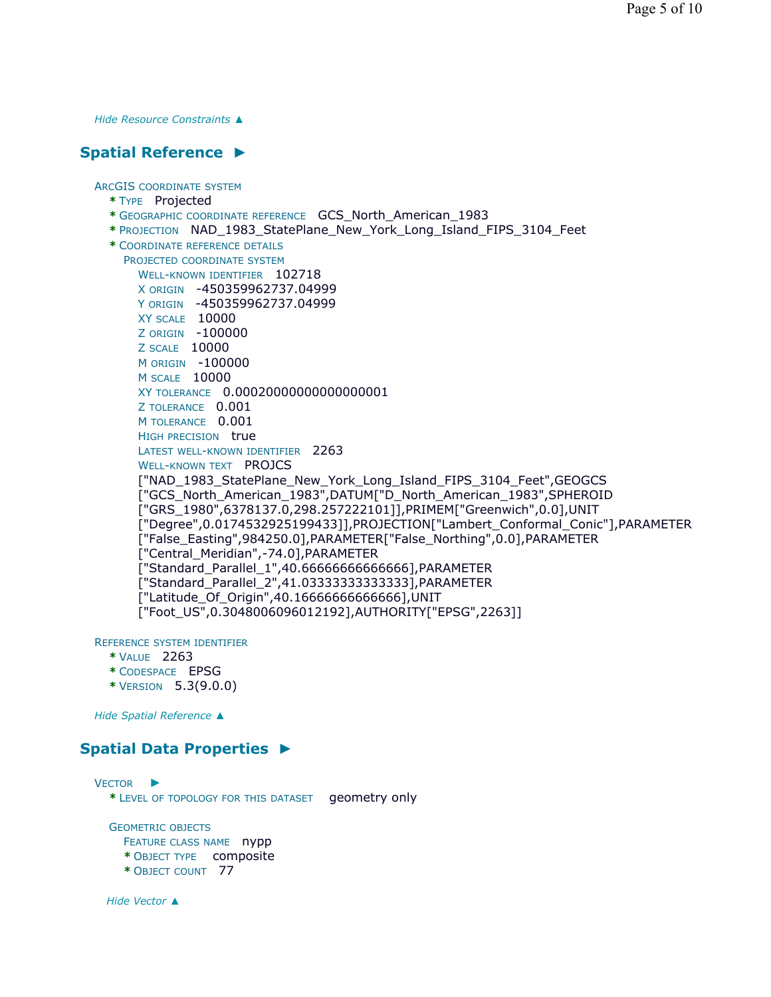*Hide Resource Constraints ▲*

## **Spatial Reference ►**

ARCGIS COORDINATE SYSTEM **\*** TYPE Projected **\*** GEOGRAPHIC COORDINATE REFERENCE GCS\_North\_American\_1983 **\*** PROJECTION NAD\_1983\_StatePlane\_New\_York\_Long\_Island\_FIPS\_3104\_Feet **\*** COORDINATE REFERENCE DETAILS PROJECTED COORDINATE SYSTEM WELL-KNOWN IDENTIFIER 102718 X ORIGIN -450359962737.04999 Y ORIGIN -450359962737.04999 XY SCALE 10000 Z ORIGIN -100000 Z SCALE 10000 M ORIGIN -100000 M SCALE 10000 XY TOLERANCE 0.00020000000000000001 Z TOLERANCE 0.001 M TOLERANCE 0.001 HIGH PRECISION true LATEST WELL-KNOWN IDENTIFIER 2263 WELL-KNOWN TEXT PROJCS ["NAD\_1983\_StatePlane\_New\_York\_Long\_Island\_FIPS\_3104\_Feet",GEOGCS ["GCS\_North\_American\_1983",DATUM["D\_North\_American\_1983",SPHEROID ["GRS\_1980",6378137.0,298.257222101]],PRIMEM["Greenwich",0.0],UNIT ["Degree",0.0174532925199433]],PROJECTION["Lambert\_Conformal\_Conic"],PARAMETER ["False\_Easting",984250.0],PARAMETER["False\_Northing",0.0],PARAMETER ["Central\_Meridian",-74.0],PARAMETER ["Standard\_Parallel\_1",40.66666666666666],PARAMETER ["Standard\_Parallel\_2",41.03333333333333],PARAMETER ["Latitude\_Of\_Origin",40.16666666666666],UNIT ["Foot\_US",0.3048006096012192],AUTHORITY["EPSG",2263]]

REFERENCE SYSTEM IDENTIFIER

- **\*** VALUE 2263
- **\*** CODESPACE EPSG
- **\*** VERSION 5.3(9.0.0)

*Hide Spatial Reference ▲*

### **Spatial Data Properties ►**

VECTOR ► **\*** LEVEL OF TOPOLOGY FOR THIS DATASET geometry only GEOMETRIC OBJECTS

FEATURE CLASS NAME nypp

- **\*** OBJECT TYPE composite
- **\*** OBJECT COUNT 77

*Hide Vector ▲*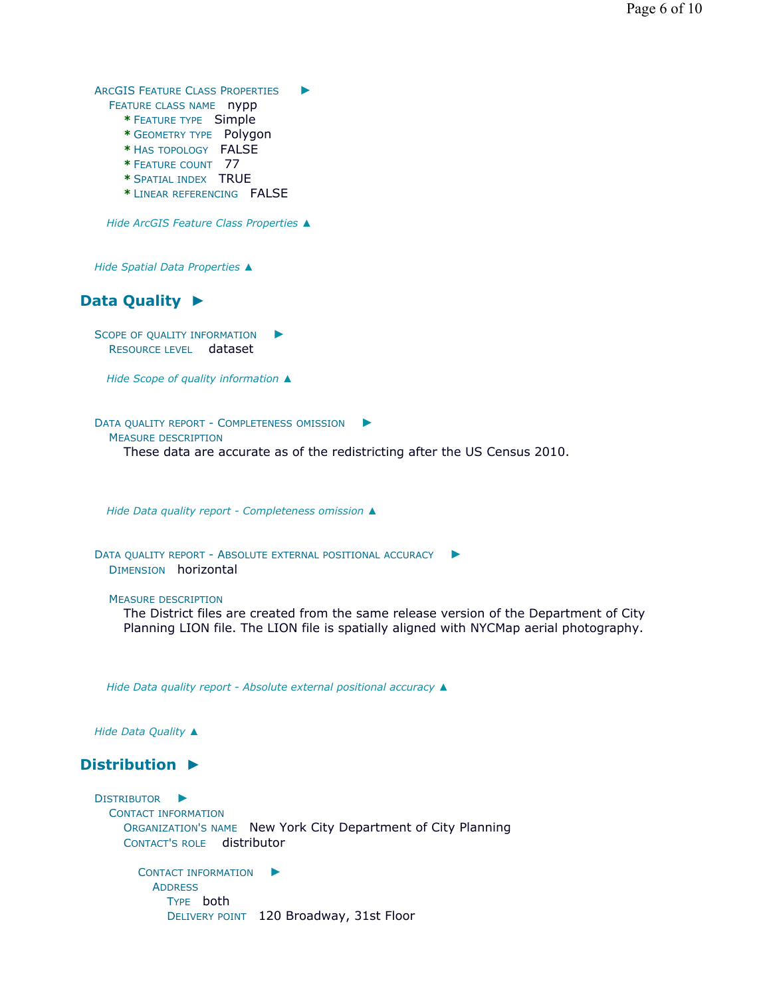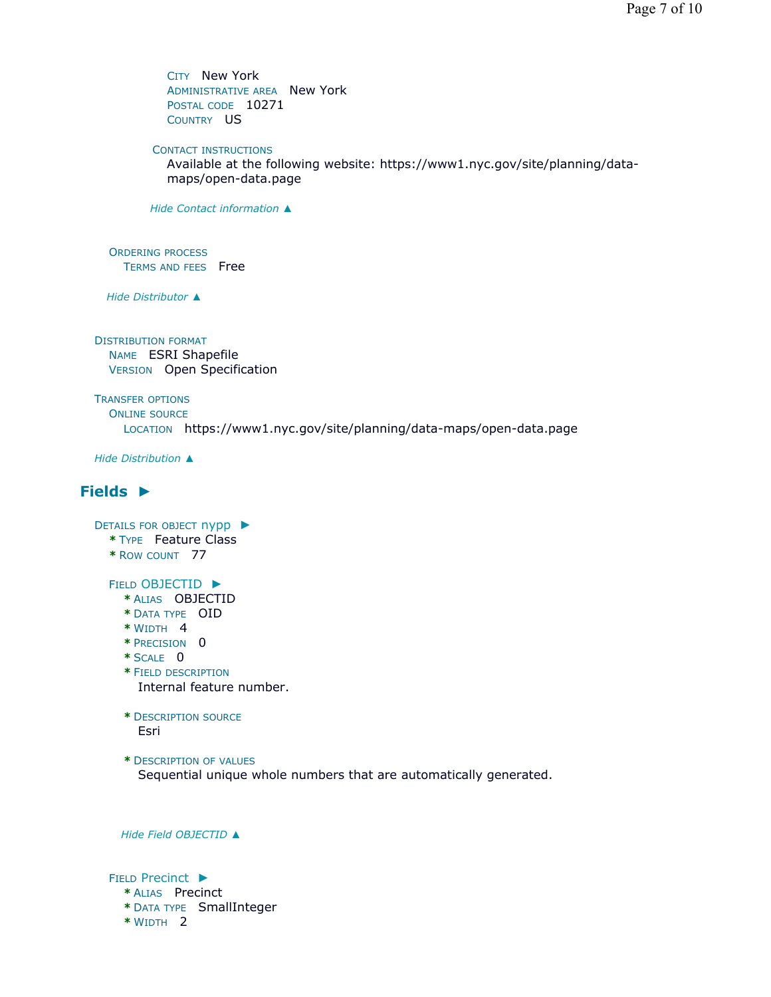CITY New York ADMINISTRATIVE AREA New York POSTAL CODE 10271 COUNTRY US

CONTACT INSTRUCTIONS

Available at the following website: https://www1.nyc.gov/site/planning/datamaps/open-data.page

*Hide Contact information ▲*

ORDERING PROCESS TERMS AND FEES Free

*Hide Distributor ▲*

DISTRIBUTION FORMAT NAME ESRI Shapefile VERSION Open Specification

TRANSFER OPTIONS ONLINE SOURCE LOCATION https://www1.nyc.gov/site/planning/data-maps/open-data.page

*Hide Distribution ▲*

# **Fields ►**

DETAILS FOR OBJECT nypp ► **\*** TYPE Feature Class **\*** ROW COUNT 77

FIELD OBJECTID ►

- **\*** ALIAS OBJECTID
- **\*** DATA TYPE OID
- **\*** WIDTH 4
- **\*** PRECISION 0
- **\*** SCALE 0
- **\*** FIELD DESCRIPTION Internal feature number.
- **\*** DESCRIPTION SOURCE Esri
- **\*** DESCRIPTION OF VALUES

Sequential unique whole numbers that are automatically generated.

*Hide Field OBJECTID ▲*

FIELD Precinct ►

- **\*** ALIAS Precinct
- **\*** DATA TYPE SmallInteger
- **\*** WIDTH 2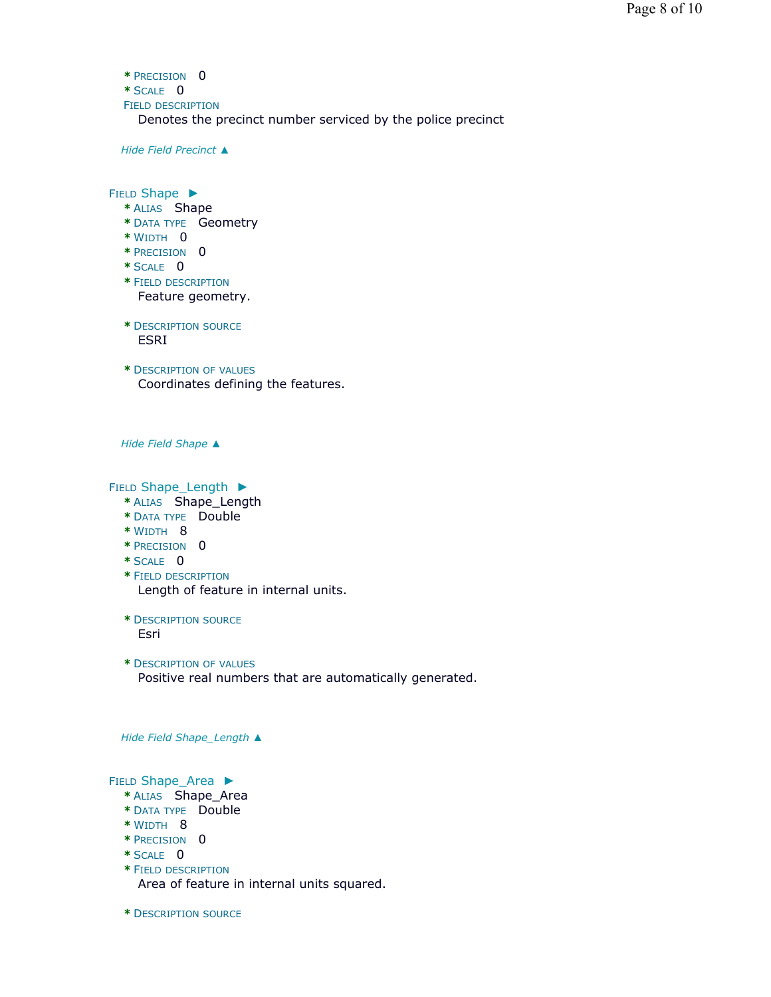```
* PRECISION 0
* SCALE 0
FIELD DESCRIPTION
  Denotes the precinct number serviced by the police precinct
```
*Hide Field Precinct ▲*

FIELD Shape ▶

- **\*** ALIAS Shape
- **\*** DATA TYPE Geometry
- **\*** WIDTH 0
- **\*** PRECISION 0
- **\*** SCALE 0
- **\*** FIELD DESCRIPTION Feature geometry.
- **\*** DESCRIPTION SOURCE ESRI
- **\*** DESCRIPTION OF VALUES Coordinates defining the features.

*Hide Field Shape ▲*

FIELD Shape\_Length ▶

- **\*** ALIAS Shape\_Length
- **\*** DATA TYPE Double
- **\*** WIDTH 8
- **\*** PRECISION 0
- **\*** SCALE 0
- **\*** FIELD DESCRIPTION Length of feature in internal units.
- **\*** DESCRIPTION SOURCE Esri
- **\*** DESCRIPTION OF VALUES Positive real numbers that are automatically generated.

*Hide Field Shape\_Length ▲*

FIELD Shape\_Area ▶

- **\*** ALIAS Shape\_Area
- **\*** DATA TYPE Double
- **\*** WIDTH 8
- **\*** PRECISION 0
- **\*** SCALE 0
- **\*** FIELD DESCRIPTION Area of feature in internal units squared.
- **\*** DESCRIPTION SOURCE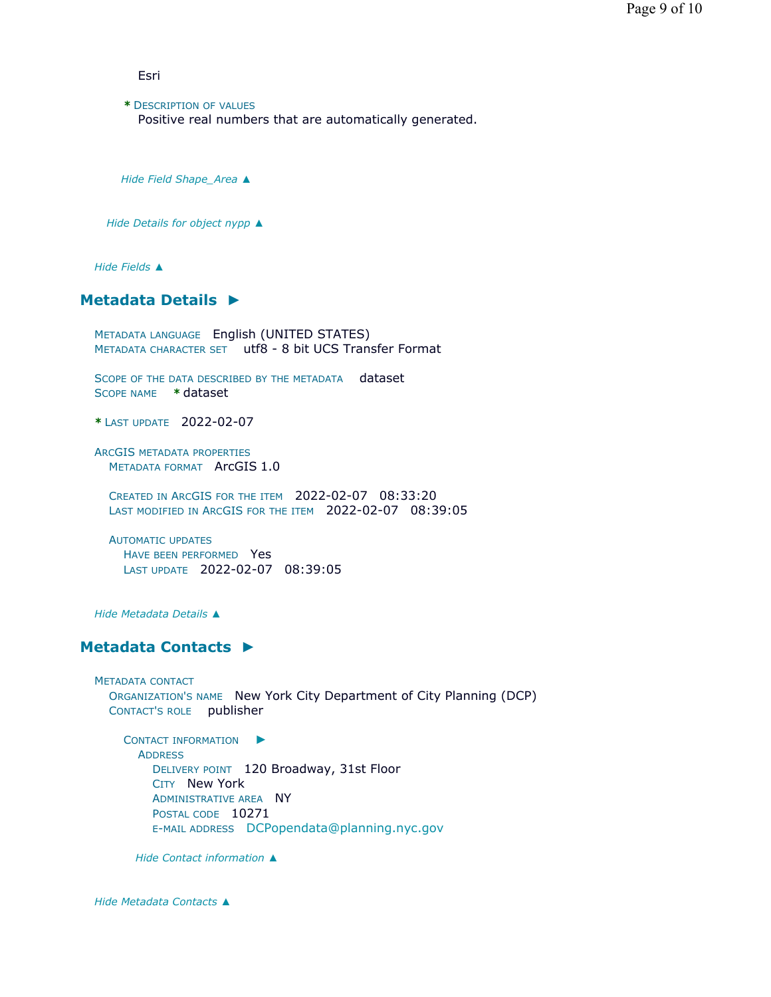Esri

**\*** DESCRIPTION OF VALUES Positive real numbers that are automatically generated.

*Hide Field Shape\_Area ▲*

*Hide Details for object nypp ▲*

*Hide Fields ▲*

## **Metadata Details ►**

METADATA LANGUAGE English (UNITED STATES) METADATA CHARACTER SET utf8 - 8 bit UCS Transfer Format

SCOPE OF THE DATA DESCRIBED BY THE METADATA dataset SCOPE NAME **\*** dataset

**\*** LAST UPDATE 2022-02-07

ARCGIS METADATA PROPERTIES METADATA FORMAT ArcGIS 1.0

CREATED IN ARCGIS FOR THE ITEM 2022-02-07 08:33:20 LAST MODIFIED IN ARCGIS FOR THE ITEM 2022-02-07 08:39:05

AUTOMATIC UPDATES HAVE BEEN PERFORMED Yes LAST UPDATE 2022-02-07 08:39:05

*Hide Metadata Details ▲*

#### **Metadata Contacts ►**

METADATA CONTACT ORGANIZATION'S NAME New York City Department of City Planning (DCP) CONTACT'S ROLE publisher

CONTACT INFORMATION ► **ADDRESS** DELIVERY POINT 120 Broadway, 31st Floor CITY New York ADMINISTRATIVE AREA NY POSTAL CODE 10271 E-MAIL ADDRESS DCPopendata@planning.nyc.gov

*Hide Contact information ▲*

*Hide Metadata Contacts ▲*